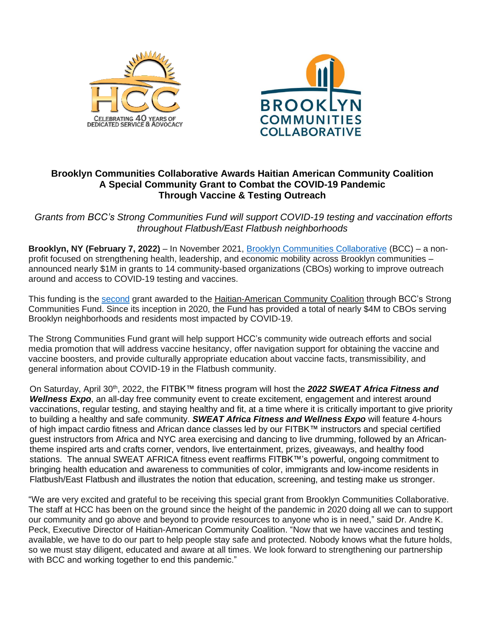



## **Brooklyn Communities Collaborative Awards Haitian American Community Coalition A Special Community Grant to Combat the COVID-19 Pandemic Through Vaccine & Testing Outreach**

*Grants from BCC's Strong Communities Fund will support COVID-19 testing and vaccination efforts throughout Flatbush/East Flatbush neighborhoods*

**Brooklyn, NY (February 7, 2022)** – In November 2021, [Brooklyn Communities Collaborative](https://brooklyncommunities.org/) (BCC) – a nonprofit focused on strengthening health, leadership, and economic mobility across Brooklyn communities – announced nearly \$1M in grants to 14 community-based organizations (CBOs) working to improve outreach around and access to COVID-19 testing and vaccines.

This funding is the [second](https://brooklyncommunities.org/wp-content/uploads/2021/01/press-release-brooklyn-communities-collaborative-invests-3m-to-support-cbos1.pdf) grant awarded to the Haitian-American Community Coalition through BCC's Strong Communities Fund. Since its inception in 2020, the Fund has provided a total of nearly \$4M to CBOs serving Brooklyn neighborhoods and residents most impacted by COVID-19.

The Strong Communities Fund grant will help support HCC's community wide outreach efforts and social media promotion that will address vaccine hesitancy, offer navigation support for obtaining the vaccine and vaccine boosters, and provide culturally appropriate education about vaccine facts, transmissibility, and general information about COVID-19 in the Flatbush community.

On Saturday, April 30th, 2022, the FITBK™ fitness program will host the *2022 SWEAT Africa Fitness and Wellness Expo*, an all-day free community event to create excitement, engagement and interest around vaccinations, regular testing, and staying healthy and fit, at a time where it is critically important to give priority to building a healthy and safe community. *SWEAT Africa Fitness and Wellness Expo* will feature 4-hours of high impact cardio fitness and African dance classes led by our FITBK™ instructors and special certified guest instructors from Africa and NYC area exercising and dancing to live drumming, followed by an Africantheme inspired arts and crafts corner, vendors, live entertainment, prizes, giveaways, and healthy food stations. The annual SWEAT AFRICA fitness event reaffirms FITBK™'s powerful, ongoing commitment to bringing health education and awareness to communities of color, immigrants and low-income residents in Flatbush/East Flatbush and illustrates the notion that education, screening, and testing make us stronger.

"We are very excited and grateful to be receiving this special grant from Brooklyn Communities Collaborative. The staff at HCC has been on the ground since the height of the pandemic in 2020 doing all we can to support our community and go above and beyond to provide resources to anyone who is in need," said Dr. Andre K. Peck, Executive Director of Haitian-American Community Coalition. "Now that we have vaccines and testing available, we have to do our part to help people stay safe and protected. Nobody knows what the future holds, so we must stay diligent, educated and aware at all times. We look forward to strengthening our partnership with BCC and working together to end this pandemic."